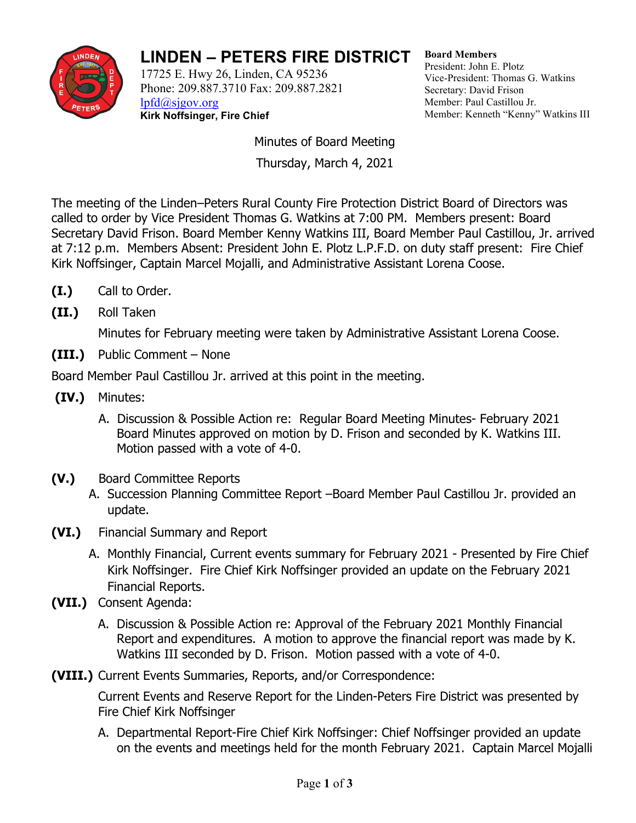

## **LINDEN – PETERS FIRE DISTRICT**

17725 E. Hwy 26, Linden, CA 95236 Phone: 209.887.3710 Fax: 209.887.2821 [lpfd@sjgov.org](mailto:lpfd@sjgov.org) **Kirk Noffsinger, Fire Chief**

**Board Members** President: John E. Plotz Vice-President: Thomas G. Watkins Secretary: David Frison Member: Paul Castillou Jr. Member: Kenneth "Kenny" Watkins III

Minutes of Board Meeting Thursday, March 4, 2021

The meeting of the Linden–Peters Rural County Fire Protection District Board of Directors was called to order by Vice President Thomas G. Watkins at 7:00 PM. Members present: Board Secretary David Frison. Board Member Kenny Watkins III, Board Member Paul Castillou, Jr. arrived at 7:12 p.m. Members Absent: President John E. Plotz L.P.F.D. on duty staff present: Fire Chief Kirk Noffsinger, Captain Marcel Mojalli, and Administrative Assistant Lorena Coose.

- **(I.)** Call to Order.
- **(II.)** Roll Taken

Minutes for February meeting were taken by Administrative Assistant Lorena Coose.

**(III.)** Public Comment – None

Board Member Paul Castillou Jr. arrived at this point in the meeting.

- **(IV.)** Minutes:
	- A. Discussion & Possible Action re: Regular Board Meeting Minutes- February 2021 Board Minutes approved on motion by D. Frison and seconded by K. Watkins III. Motion passed with a vote of 4-0.
- **(V.)** Board Committee Reports
	- A. Succession Planning Committee Report –Board Member Paul Castillou Jr. provided an update.
- **(VI.)** Financial Summary and Report
	- A. Monthly Financial, Current events summary for February 2021 Presented by Fire Chief Kirk Noffsinger. Fire Chief Kirk Noffsinger provided an update on the February 2021 Financial Reports.
- **(VII.)** Consent Agenda:
	- A. Discussion & Possible Action re: Approval of the February 2021 Monthly Financial Report and expenditures. A motion to approve the financial report was made by K. Watkins III seconded by D. Frison. Motion passed with a vote of 4-0.
- **(VIII.)** Current Events Summaries, Reports, and/or Correspondence:

Current Events and Reserve Report for the Linden-Peters Fire District was presented by Fire Chief Kirk Noffsinger

A. Departmental Report-Fire Chief Kirk Noffsinger: Chief Noffsinger provided an update on the events and meetings held for the month February 2021. Captain Marcel Mojalli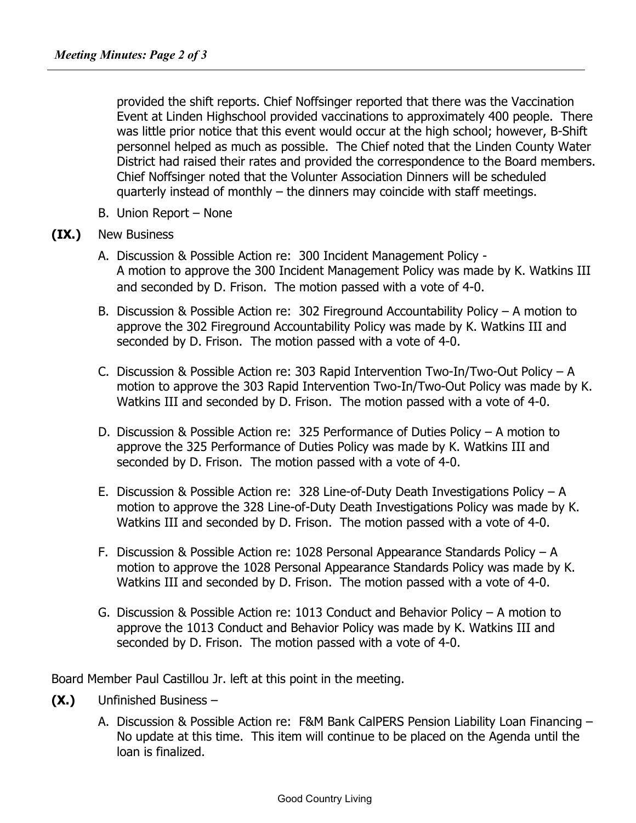provided the shift reports. Chief Noffsinger reported that there was the Vaccination Event at Linden Highschool provided vaccinations to approximately 400 people. There was little prior notice that this event would occur at the high school; however, B-Shift personnel helped as much as possible. The Chief noted that the Linden County Water District had raised their rates and provided the correspondence to the Board members. Chief Noffsinger noted that the Volunter Association Dinners will be scheduled quarterly instead of monthly – the dinners may coincide with staff meetings.

B. Union Report – None

## **(IX.)** New Business

- A. Discussion & Possible Action re: 300 Incident Management Policy A motion to approve the 300 Incident Management Policy was made by K. Watkins III and seconded by D. Frison. The motion passed with a vote of 4-0.
- B. Discussion & Possible Action re: 302 Fireground Accountability Policy A motion to approve the 302 Fireground Accountability Policy was made by K. Watkins III and seconded by D. Frison. The motion passed with a vote of 4-0.
- C. Discussion & Possible Action re: 303 Rapid Intervention Two-In/Two-Out Policy A motion to approve the 303 Rapid Intervention Two-In/Two-Out Policy was made by K. Watkins III and seconded by D. Frison. The motion passed with a vote of 4-0.
- D. Discussion & Possible Action re: 325 Performance of Duties Policy A motion to approve the 325 Performance of Duties Policy was made by K. Watkins III and seconded by D. Frison. The motion passed with a vote of 4-0.
- E. Discussion & Possible Action re: 328 Line-of-Duty Death Investigations Policy A motion to approve the 328 Line-of-Duty Death Investigations Policy was made by K. Watkins III and seconded by D. Frison. The motion passed with a vote of 4-0.
- F. Discussion & Possible Action re: 1028 Personal Appearance Standards Policy A motion to approve the 1028 Personal Appearance Standards Policy was made by K. Watkins III and seconded by D. Frison. The motion passed with a vote of 4-0.
- G. Discussion & Possible Action re: 1013 Conduct and Behavior Policy A motion to approve the 1013 Conduct and Behavior Policy was made by K. Watkins III and seconded by D. Frison. The motion passed with a vote of 4-0.

Board Member Paul Castillou Jr. left at this point in the meeting.

- **(X.)** Unfinished Business
	- A. Discussion & Possible Action re: F&M Bank CalPERS Pension Liability Loan Financing No update at this time. This item will continue to be placed on the Agenda until the loan is finalized.